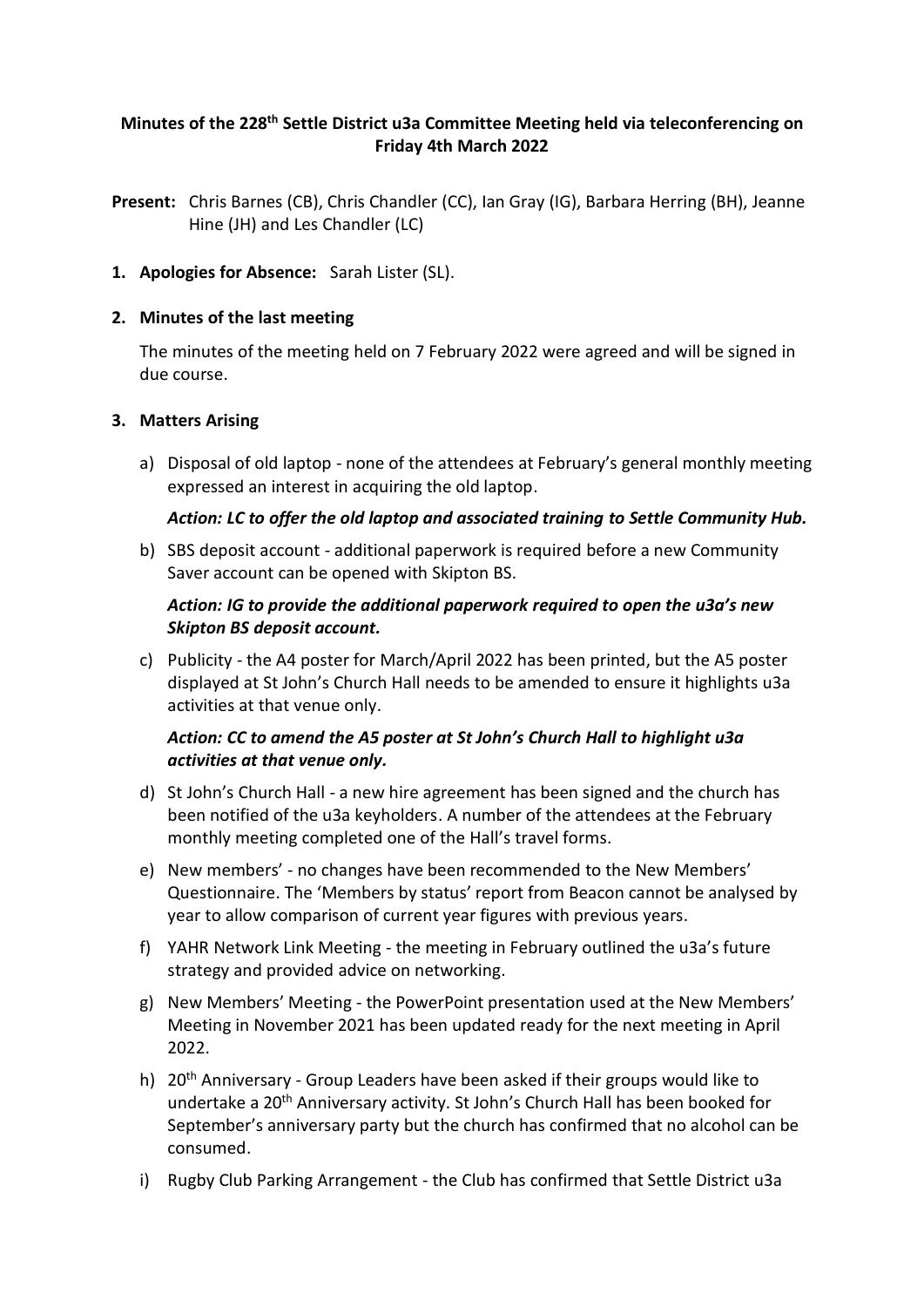# **Minutes of the 228 th Settle District u3a Committee Meeting held via teleconferencing on Friday 4th March 2022**

- **Present:** Chris Barnes (CB), Chris Chandler (CC), Ian Gray (IG), Barbara Herring (BH), Jeanne Hine (JH) and Les Chandler (LC)
- **1. Apologies for Absence:** Sarah Lister (SL).

### **2. Minutes of the last meeting**

The minutes of the meeting held on 7 February 2022 were agreed and will be signed in due course.

### **3. Matters Arising**

a) Disposal of old laptop - none of the attendees at February's general monthly meeting expressed an interest in acquiring the old laptop.

### *Action: LC to offer the old laptop and associated training to Settle Community Hub.*

b) SBS deposit account - additional paperwork is required before a new Community Saver account can be opened with Skipton BS.

# *Action: IG to provide the additional paperwork required to open the u3a's new Skipton BS deposit account.*

c) Publicity - the A4 poster for March/April 2022 has been printed, but the A5 poster displayed at St John's Church Hall needs to be amended to ensure it highlights u3a activities at that venue only.

# *Action: CC to amend the A5 poster at St John's Church Hall to highlight u3a activities at that venue only.*

- d) St John's Church Hall a new hire agreement has been signed and the church has been notified of the u3a keyholders. A number of the attendees at the February monthly meeting completed one of the Hall's travel forms.
- e) New members' no changes have been recommended to the New Members' Questionnaire. The 'Members by status' report from Beacon cannot be analysed by year to allow comparison of current year figures with previous years.
- f) YAHR Network Link Meeting the meeting in February outlined the u3a's future strategy and provided advice on networking.
- g) New Members' Meeting the PowerPoint presentation used at the New Members' Meeting in November 2021 has been updated ready for the next meeting in April 2022.
- h) 20th Anniversary Group Leaders have been asked if their groups would like to undertake a 20th Anniversary activity. St John's Church Hall has been booked for September's anniversary party but the church has confirmed that no alcohol can be consumed.
- i) Rugby Club Parking Arrangement the Club has confirmed that Settle District u3a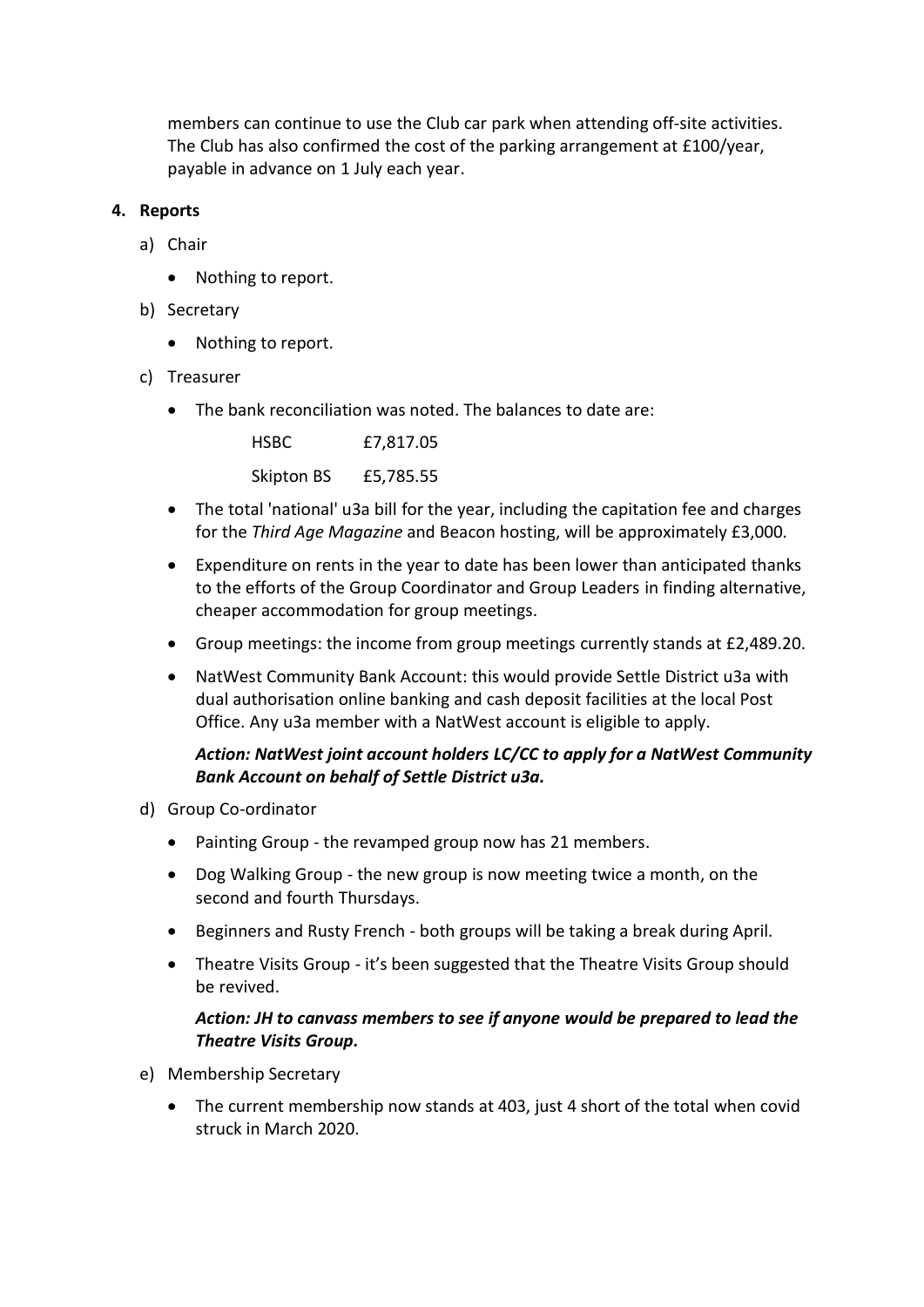members can continue to use the Club car park when attending off-site activities. The Club has also confirmed the cost of the parking arrangement at £100/year, payable in advance on 1 July each year.

# **4. Reports**

- a) Chair
	- Nothing to report.
- b) Secretary
	- Nothing to report.
- c) Treasurer
	- The bank reconciliation was noted. The balances to date are:

| <b>HSBC</b> | £7,817.05 |
|-------------|-----------|
| Skipton BS  | £5,785.55 |

- The total 'national' u3a bill for the year, including the capitation fee and charges for the *Third Age Magazine* and Beacon hosting, will be approximately £3,000.
- Expenditure on rents in the year to date has been lower than anticipated thanks to the efforts of the Group Coordinator and Group Leaders in finding alternative, cheaper accommodation for group meetings.
- Group meetings: the income from group meetings currently stands at £2,489.20.
- NatWest Community Bank Account: this would provide Settle District u3a with dual authorisation online banking and cash deposit facilities at the local Post Office. Any u3a member with a NatWest account is eligible to apply.

# *Action: NatWest joint account holders LC/CC to apply for a NatWest Community Bank Account on behalf of Settle District u3a.*

- d) Group Co-ordinator
	- Painting Group the revamped group now has 21 members.
	- Dog Walking Group the new group is now meeting twice a month, on the second and fourth Thursdays.
	- Beginners and Rusty French both groups will be taking a break during April.
	- Theatre Visits Group it's been suggested that the Theatre Visits Group should be revived.

# *Action: JH to canvass members to see if anyone would be prepared to lead the Theatre Visits Group.*

- e) Membership Secretary
	- The current membership now stands at 403, just 4 short of the total when covid struck in March 2020.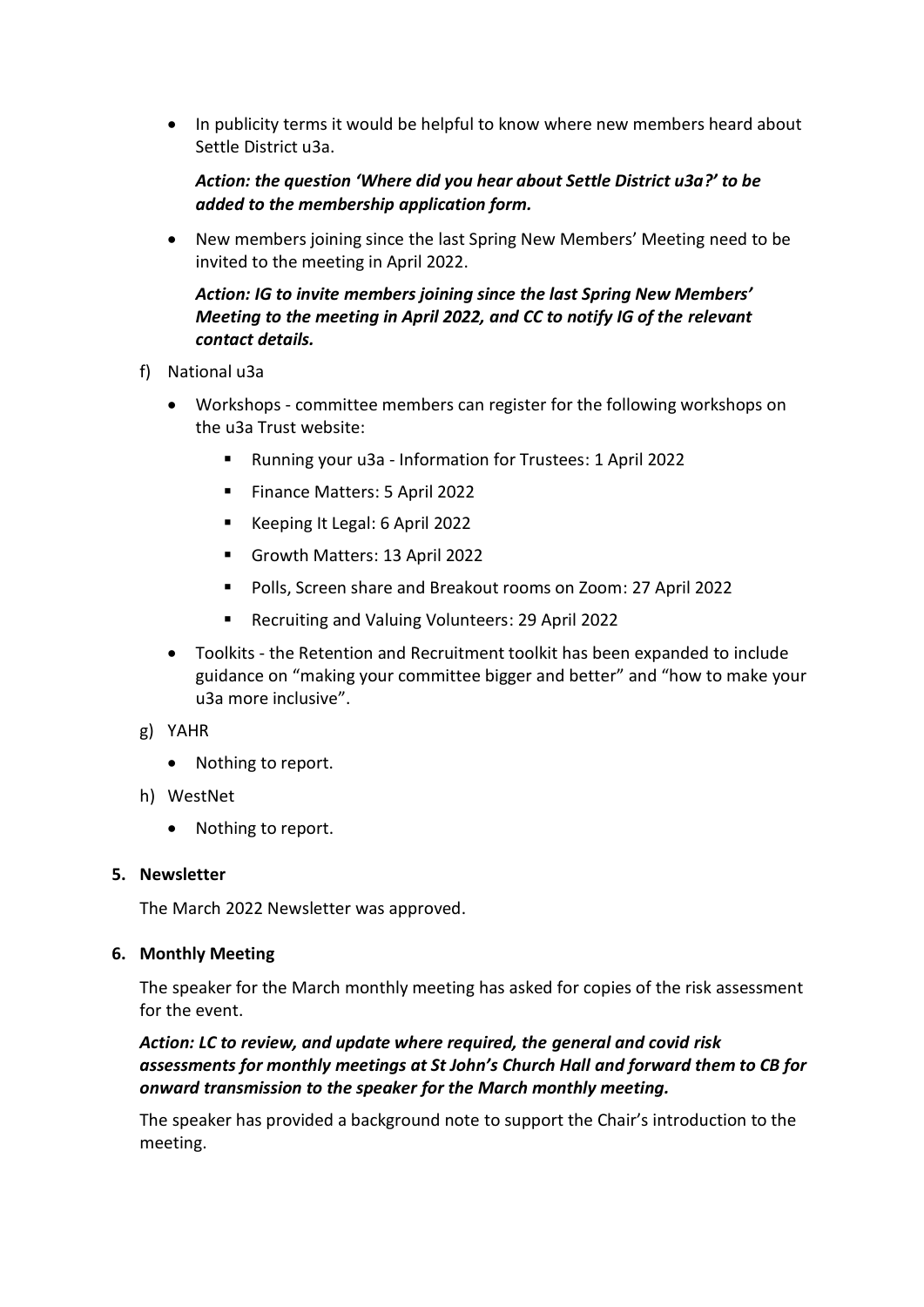• In publicity terms it would be helpful to know where new members heard about Settle District u3a.

# *Action: the question 'Where did you hear about Settle District u3a?' to be added to the membership application form.*

• New members joining since the last Spring New Members' Meeting need to be invited to the meeting in April 2022.

# *Action: IG to invite members joining since the last Spring New Members' Meeting to the meeting in April 2022, and CC to notify IG of the relevant contact details.*

- f) National u3a
	- Workshops committee members can register for the following workshops on the u3a Trust website:
		- Running your u3a Information for Trustees: 1 April 2022
		- Finance Matters: 5 April 2022
		- Keeping It Legal: 6 April 2022
		- Growth Matters: 13 April 2022
		- Polls, Screen share and Breakout rooms on Zoom: 27 April 2022
		- Recruiting and Valuing Volunteers: 29 April 2022
	- Toolkits the Retention and Recruitment toolkit has been expanded to include guidance on "making your committee bigger and better" and "how to make your u3a more inclusive".
- g) YAHR
	- Nothing to report.
- h) WestNet
	- Nothing to report.

### **5. Newsletter**

The March 2022 Newsletter was approved.

### **6. Monthly Meeting**

The speaker for the March monthly meeting has asked for copies of the risk assessment for the event.

# *Action: LC to review, and update where required, the general and covid risk assessments for monthly meetings at St John's Church Hall and forward them to CB for onward transmission to the speaker for the March monthly meeting.*

The speaker has provided a background note to support the Chair's introduction to the meeting.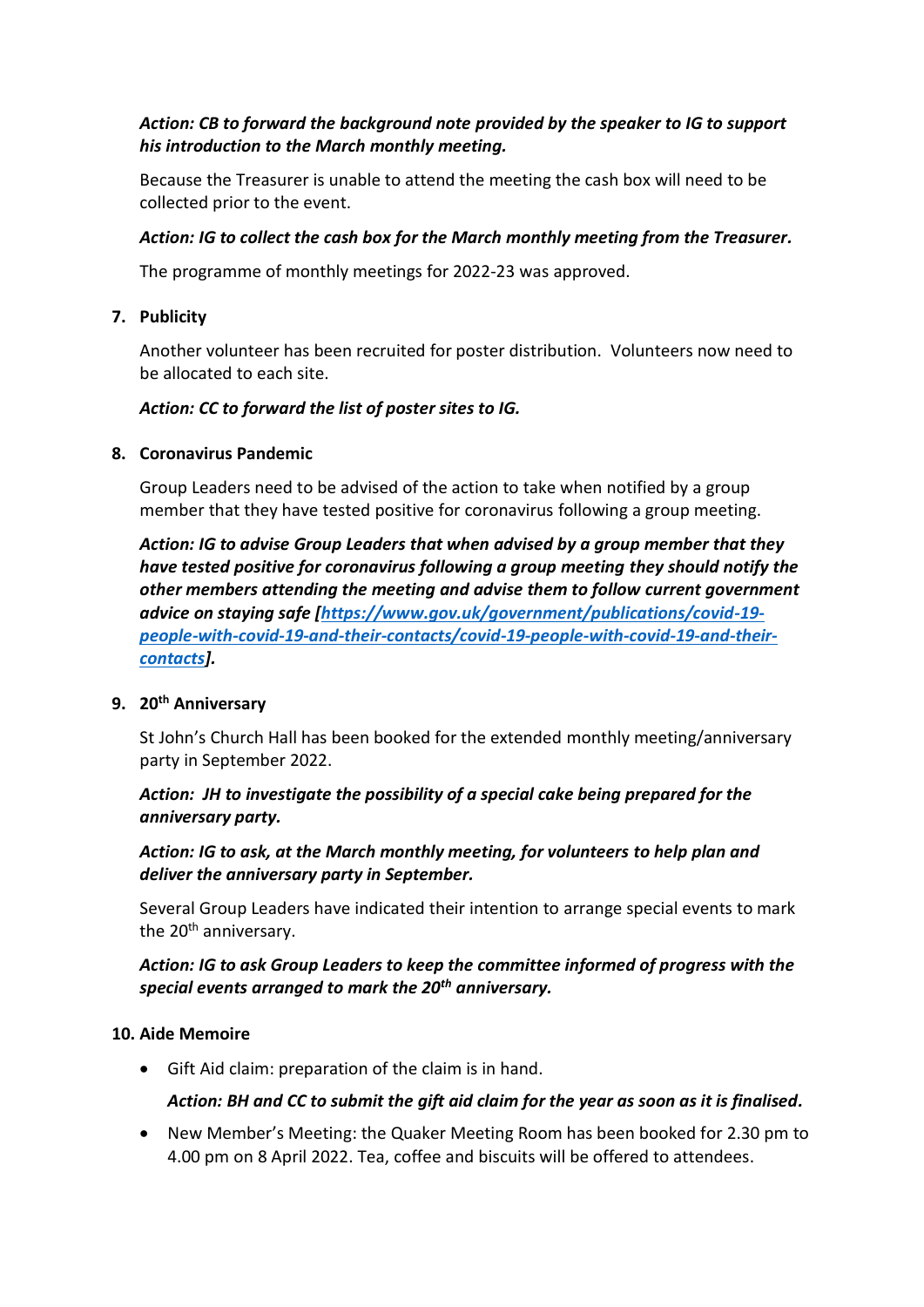# *Action: CB to forward the background note provided by the speaker to IG to support his introduction to the March monthly meeting.*

Because the Treasurer is unable to attend the meeting the cash box will need to be collected prior to the event.

# *Action: IG to collect the cash box for the March monthly meeting from the Treasurer.*

The programme of monthly meetings for 2022-23 was approved.

### **7. Publicity**

Another volunteer has been recruited for poster distribution. Volunteers now need to be allocated to each site.

### *Action: CC to forward the list of poster sites to IG.*

### **8. Coronavirus Pandemic**

Group Leaders need to be advised of the action to take when notified by a group member that they have tested positive for coronavirus following a group meeting.

*Action: IG to advise Group Leaders that when advised by a group member that they have tested positive for coronavirus following a group meeting they should notify the other members attending the meeting and advise them to follow current government advice on staying safe [\[https://www.gov.uk/government/publications/covid-19](https://www.gov.uk/government/publications/covid-19-people-with-covid-19-and-their-contacts/covid-19-people-with-covid-19-and-their-contacts) [people-with-covid-19-and-their-contacts/covid-19-people-with-covid-19-and-their](https://www.gov.uk/government/publications/covid-19-people-with-covid-19-and-their-contacts/covid-19-people-with-covid-19-and-their-contacts)[contacts\]](https://www.gov.uk/government/publications/covid-19-people-with-covid-19-and-their-contacts/covid-19-people-with-covid-19-and-their-contacts).*

### **9. 20th Anniversary**

St John's Church Hall has been booked for the extended monthly meeting/anniversary party in September 2022.

# *Action: JH to investigate the possibility of a special cake being prepared for the anniversary party.*

*Action: IG to ask, at the March monthly meeting, for volunteers to help plan and deliver the anniversary party in September.*

Several Group Leaders have indicated their intention to arrange special events to mark the 20<sup>th</sup> anniversary.

# *Action: IG to ask Group Leaders to keep the committee informed of progress with the special events arranged to mark the 20th anniversary.*

### **10. Aide Memoire**

• Gift Aid claim: preparation of the claim is in hand.

# *Action: BH and CC to submit the gift aid claim for the year as soon as it is finalised.*

• New Member's Meeting: the Quaker Meeting Room has been booked for 2.30 pm to 4.00 pm on 8 April 2022. Tea, coffee and biscuits will be offered to attendees.